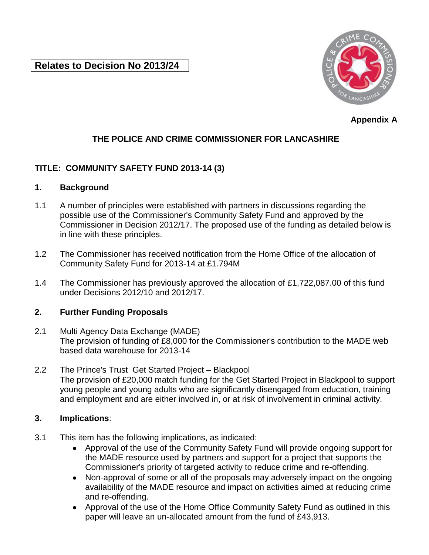# **Relates to Decision No 2013/24**



## **Appendix A**

# **THE POLICE AND CRIME COMMISSIONER FOR LANCASHIRE**

# **TITLE: COMMUNITY SAFETY FUND 2013-14 (3)**

#### **1. Background**

- 1.1 A number of principles were established with partners in discussions regarding the possible use of the Commissioner's Community Safety Fund and approved by the Commissioner in Decision 2012/17. The proposed use of the funding as detailed below is in line with these principles.
- 1.2 The Commissioner has received notification from the Home Office of the allocation of Community Safety Fund for 2013-14 at £1.794M
- 1.4 The Commissioner has previously approved the allocation of £1,722,087.00 of this fund under Decisions 2012/10 and 2012/17.

## **2. Further Funding Proposals**

- 2.1 Multi Agency Data Exchange (MADE) The provision of funding of £8,000 for the Commissioner's contribution to the MADE web based data warehouse for 2013-14
- 2.2 The Prince's Trust Get Started Project Blackpool The provision of £20,000 match funding for the Get Started Project in Blackpool to support young people and young adults who are significantly disengaged from education, training and employment and are either involved in, or at risk of involvement in criminal activity.

## **3. Implications**:

- 3.1 This item has the following implications, as indicated:
	- Approval of the use of the Community Safety Fund will provide ongoing support for the MADE resource used by partners and support for a project that supports the Commissioner's priority of targeted activity to reduce crime and re-offending.
	- Non-approval of some or all of the proposals may adversely impact on the ongoing availability of the MADE resource and impact on activities aimed at reducing crime and re-offending.
	- Approval of the use of the Home Office Community Safety Fund as outlined in this paper will leave an un-allocated amount from the fund of £43,913.